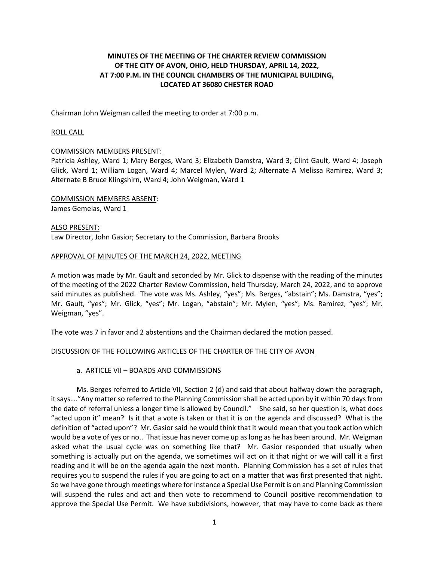# **MINUTES OF THE MEETING OF THE CHARTER REVIEW COMMISSION OF THE CITY OF AVON, OHIO, HELD THURSDAY, APRIL 14, 2022, AT 7:00 P.M. IN THE COUNCIL CHAMBERS OF THE MUNICIPAL BUILDING, LOCATED AT 36080 CHESTER ROAD**

Chairman John Weigman called the meeting to order at 7:00 p.m.

## ROLL CALL

## COMMISSION MEMBERS PRESENT:

Patricia Ashley, Ward 1; Mary Berges, Ward 3; Elizabeth Damstra, Ward 3; Clint Gault, Ward 4; Joseph Glick, Ward 1; William Logan, Ward 4; Marcel Mylen, Ward 2; Alternate A Melissa Ramirez, Ward 3; Alternate B Bruce Klingshirn, Ward 4; John Weigman, Ward 1

COMMISSION MEMBERS ABSENT: James Gemelas, Ward 1

ALSO PRESENT: Law Director, John Gasior; Secretary to the Commission, Barbara Brooks

#### APPROVAL OF MINUTES OF THE MARCH 24, 2022, MEETING

A motion was made by Mr. Gault and seconded by Mr. Glick to dispense with the reading of the minutes of the meeting of the 2022 Charter Review Commission, held Thursday, March 24, 2022, and to approve said minutes as published. The vote was Ms. Ashley, "yes"; Ms. Berges, "abstain"; Ms. Damstra, "yes"; Mr. Gault, "yes"; Mr. Glick, "yes"; Mr. Logan, "abstain"; Mr. Mylen, "yes"; Ms. Ramirez, "yes"; Mr. Weigman, "yes".

The vote was 7 in favor and 2 abstentions and the Chairman declared the motion passed.

#### DISCUSSION OF THE FOLLOWING ARTICLES OF THE CHARTER OF THE CITY OF AVON

## a. ARTICLE VII – BOARDS AND COMMISSIONS

Ms. Berges referred to Article VII, Section 2 (d) and said that about halfway down the paragraph, it says…."Any matter so referred to the Planning Commission shall be acted upon by it within 70 days from the date of referral unless a longer time is allowed by Council." She said, so her question is, what does "acted upon it" mean? Is it that a vote is taken or that it is on the agenda and discussed? What is the definition of "acted upon"? Mr. Gasior said he would think that it would mean that you took action which would be a vote of yes or no.. That issue has never come up as long as he has been around. Mr. Weigman asked what the usual cycle was on something like that? Mr. Gasior responded that usually when something is actually put on the agenda, we sometimes will act on it that night or we will call it a first reading and it will be on the agenda again the next month. Planning Commission has a set of rules that requires you to suspend the rules if you are going to act on a matter that was first presented that night. So we have gone through meetings where for instance a Special Use Permit is on and Planning Commission will suspend the rules and act and then vote to recommend to Council positive recommendation to approve the Special Use Permit. We have subdivisions, however, that may have to come back as there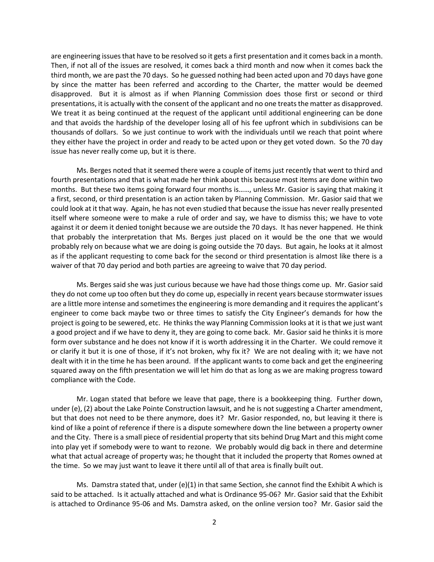are engineering issues that have to be resolved so it gets a first presentation and it comes back in a month. Then, if not all of the issues are resolved, it comes back a third month and now when it comes back the third month, we are past the 70 days. So he guessed nothing had been acted upon and 70 days have gone by since the matter has been referred and according to the Charter, the matter would be deemed disapproved. But it is almost as if when Planning Commission does those first or second or third presentations, it is actually with the consent of the applicant and no one treats the matter as disapproved. We treat it as being continued at the request of the applicant until additional engineering can be done and that avoids the hardship of the developer losing all of his fee upfront which in subdivisions can be thousands of dollars. So we just continue to work with the individuals until we reach that point where they either have the project in order and ready to be acted upon or they get voted down. So the 70 day issue has never really come up, but it is there.

Ms. Berges noted that it seemed there were a couple of items just recently that went to third and fourth presentations and that is what made her think about this because most items are done within two months. But these two items going forward four months is……, unless Mr. Gasior is saying that making it a first, second, or third presentation is an action taken by Planning Commission. Mr. Gasior said that we could look at it that way. Again, he has not even studied that because the issue has never really presented itself where someone were to make a rule of order and say, we have to dismiss this; we have to vote against it or deem it denied tonight because we are outside the 70 days. It has never happened. He think that probably the interpretation that Ms. Berges just placed on it would be the one that we would probably rely on because what we are doing is going outside the 70 days. But again, he looks at it almost as if the applicant requesting to come back for the second or third presentation is almost like there is a waiver of that 70 day period and both parties are agreeing to waive that 70 day period.

Ms. Berges said she was just curious because we have had those things come up. Mr. Gasior said they do not come up too often but they do come up, especially in recent years because stormwater issues are a little more intense and sometimes the engineering is more demanding and it requires the applicant's engineer to come back maybe two or three times to satisfy the City Engineer's demands for how the project is going to be sewered, etc. He thinks the way Planning Commission looks at it is that we just want a good project and if we have to deny it, they are going to come back. Mr. Gasior said he thinks it is more form over substance and he does not know if it is worth addressing it in the Charter. We could remove it or clarify it but it is one of those, if it's not broken, why fix it? We are not dealing with it; we have not dealt with it in the time he has been around. If the applicant wants to come back and get the engineering squared away on the fifth presentation we will let him do that as long as we are making progress toward compliance with the Code.

Mr. Logan stated that before we leave that page, there is a bookkeeping thing. Further down, under (e), (2) about the Lake Pointe Construction lawsuit, and he is not suggesting a Charter amendment, but that does not need to be there anymore, does it? Mr. Gasior responded, no, but leaving it there is kind of like a point of reference if there is a dispute somewhere down the line between a property owner and the City. There is a small piece of residential property that sits behind Drug Mart and this might come into play yet if somebody were to want to rezone. We probably would dig back in there and determine what that actual acreage of property was; he thought that it included the property that Romes owned at the time. So we may just want to leave it there until all of that area is finally built out.

Ms. Damstra stated that, under (e)(1) in that same Section, she cannot find the Exhibit A which is said to be attached. Is it actually attached and what is Ordinance 95-06? Mr. Gasior said that the Exhibit is attached to Ordinance 95-06 and Ms. Damstra asked, on the online version too? Mr. Gasior said the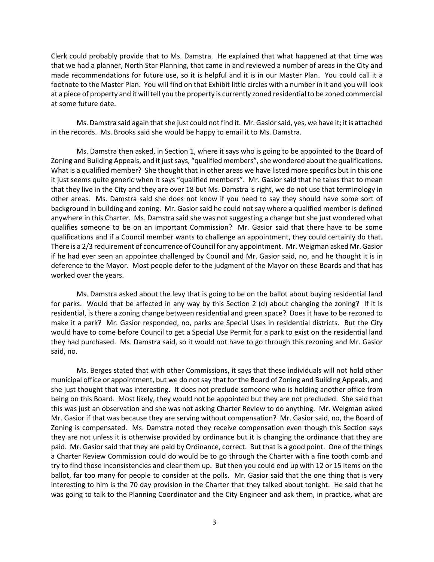Clerk could probably provide that to Ms. Damstra. He explained that what happened at that time was that we had a planner, North Star Planning, that came in and reviewed a number of areas in the City and made recommendations for future use, so it is helpful and it is in our Master Plan. You could call it a footnote to the Master Plan. You will find on that Exhibit little circles with a number in it and you will look at a piece of property and it will tell you the property is currently zoned residential to be zoned commercial at some future date.

Ms. Damstra said again that she just could not find it. Mr. Gasior said, yes, we have it; it is attached in the records. Ms. Brooks said she would be happy to email it to Ms. Damstra.

Ms. Damstra then asked, in Section 1, where it says who is going to be appointed to the Board of Zoning and Building Appeals, and it just says, "qualified members", she wondered about the qualifications. What is a qualified member? She thought that in other areas we have listed more specifics but in this one it just seems quite generic when it says "qualified members". Mr. Gasior said that he takes that to mean that they live in the City and they are over 18 but Ms. Damstra is right, we do not use that terminology in other areas. Ms. Damstra said she does not know if you need to say they should have some sort of background in building and zoning. Mr. Gasior said he could not say where a qualified member is defined anywhere in this Charter. Ms. Damstra said she was not suggesting a change but she just wondered what qualifies someone to be on an important Commission? Mr. Gasior said that there have to be some qualifications and if a Council member wants to challenge an appointment, they could certainly do that. There is a 2/3 requirement of concurrence of Council for any appointment. Mr. Weigman asked Mr. Gasior if he had ever seen an appointee challenged by Council and Mr. Gasior said, no, and he thought it is in deference to the Mayor. Most people defer to the judgment of the Mayor on these Boards and that has worked over the years.

Ms. Damstra asked about the levy that is going to be on the ballot about buying residential land for parks. Would that be affected in any way by this Section 2 (d) about changing the zoning? If it is residential, is there a zoning change between residential and green space? Does it have to be rezoned to make it a park? Mr. Gasior responded, no, parks are Special Uses in residential districts. But the City would have to come before Council to get a Special Use Permit for a park to exist on the residential land they had purchased. Ms. Damstra said, so it would not have to go through this rezoning and Mr. Gasior said, no.

Ms. Berges stated that with other Commissions, it says that these individuals will not hold other municipal office or appointment, but we do not say that for the Board of Zoning and Building Appeals, and she just thought that was interesting. It does not preclude someone who is holding another office from being on this Board. Most likely, they would not be appointed but they are not precluded. She said that this was just an observation and she was not asking Charter Review to do anything. Mr. Weigman asked Mr. Gasior if that was because they are serving without compensation? Mr. Gasior said, no, the Board of Zoning is compensated. Ms. Damstra noted they receive compensation even though this Section says they are not unless it is otherwise provided by ordinance but it is changing the ordinance that they are paid. Mr. Gasior said that they are paid by Ordinance, correct. But that is a good point. One of the things a Charter Review Commission could do would be to go through the Charter with a fine tooth comb and try to find those inconsistencies and clear them up. But then you could end up with 12 or 15 items on the ballot, far too many for people to consider at the polls. Mr. Gasior said that the one thing that is very interesting to him is the 70 day provision in the Charter that they talked about tonight. He said that he was going to talk to the Planning Coordinator and the City Engineer and ask them, in practice, what are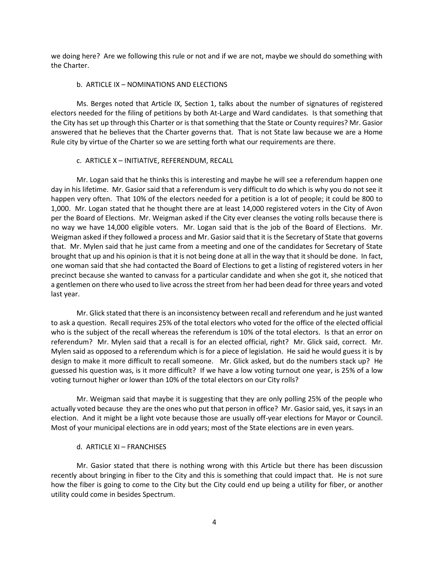we doing here? Are we following this rule or not and if we are not, maybe we should do something with the Charter.

## b. ARTICLE IX – NOMINATIONS AND ELECTIONS

Ms. Berges noted that Article IX, Section 1, talks about the number of signatures of registered electors needed for the filing of petitions by both At-Large and Ward candidates. Is that something that the City has set up through this Charter or is that something that the State or County requires? Mr. Gasior answered that he believes that the Charter governs that. That is not State law because we are a Home Rule city by virtue of the Charter so we are setting forth what our requirements are there.

#### c. ARTICLE X – INITIATIVE, REFERENDUM, RECALL

Mr. Logan said that he thinks this is interesting and maybe he will see a referendum happen one day in his lifetime. Mr. Gasior said that a referendum is very difficult to do which is why you do not see it happen very often. That 10% of the electors needed for a petition is a lot of people; it could be 800 to 1,000. Mr. Logan stated that he thought there are at least 14,000 registered voters in the City of Avon per the Board of Elections. Mr. Weigman asked if the City ever cleanses the voting rolls because there is no way we have 14,000 eligible voters. Mr. Logan said that is the job of the Board of Elections. Mr. Weigman asked if they followed a process and Mr. Gasior said that it is the Secretary of State that governs that. Mr. Mylen said that he just came from a meeting and one of the candidates for Secretary of State brought that up and his opinion is that it is not being done at all in the way that it should be done. In fact, one woman said that she had contacted the Board of Elections to get a listing of registered voters in her precinct because she wanted to canvass for a particular candidate and when she got it, she noticed that a gentlemen on there who used to live across the street from her had been dead for three years and voted last year.

Mr. Glick stated that there is an inconsistency between recall and referendum and he just wanted to ask a question. Recall requires 25% of the total electors who voted for the office of the elected official who is the subject of the recall whereas the referendum is 10% of the total electors. Is that an error on referendum? Mr. Mylen said that a recall is for an elected official, right? Mr. Glick said, correct. Mr. Mylen said as opposed to a referendum which is for a piece of legislation. He said he would guess it is by design to make it more difficult to recall someone. Mr. Glick asked, but do the numbers stack up? He guessed his question was, is it more difficult? If we have a low voting turnout one year, is 25% of a low voting turnout higher or lower than 10% of the total electors on our City rolls?

Mr. Weigman said that maybe it is suggesting that they are only polling 25% of the people who actually voted because they are the ones who put that person in office? Mr. Gasior said, yes, it says in an election. And it might be a light vote because those are usually off-year elections for Mayor or Council. Most of your municipal elections are in odd years; most of the State elections are in even years.

#### d. ARTICLE XI – FRANCHISES

Mr. Gasior stated that there is nothing wrong with this Article but there has been discussion recently about bringing in fiber to the City and this is something that could impact that. He is not sure how the fiber is going to come to the City but the City could end up being a utility for fiber, or another utility could come in besides Spectrum.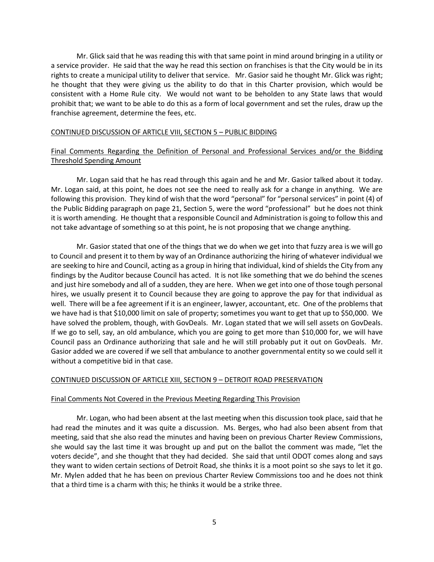Mr. Glick said that he was reading this with that same point in mind around bringing in a utility or a service provider. He said that the way he read this section on franchises is that the City would be in its rights to create a municipal utility to deliver that service. Mr. Gasior said he thought Mr. Glick was right; he thought that they were giving us the ability to do that in this Charter provision, which would be consistent with a Home Rule city. We would not want to be beholden to any State laws that would prohibit that; we want to be able to do this as a form of local government and set the rules, draw up the franchise agreement, determine the fees, etc.

## CONTINUED DISCUSSION OF ARTICLE VIII, SECTION 5 – PUBLIC BIDDING

# Final Comments Regarding the Definition of Personal and Professional Services and/or the Bidding Threshold Spending Amount

Mr. Logan said that he has read through this again and he and Mr. Gasior talked about it today. Mr. Logan said, at this point, he does not see the need to really ask for a change in anything. We are following this provision. They kind of wish that the word "personal" for "personal services" in point (4) of the Public Bidding paragraph on page 21, Section 5, were the word "professional" but he does not think it is worth amending. He thought that a responsible Council and Administration is going to follow this and not take advantage of something so at this point, he is not proposing that we change anything.

Mr. Gasior stated that one of the things that we do when we get into that fuzzy area is we will go to Council and present it to them by way of an Ordinance authorizing the hiring of whatever individual we are seeking to hire and Council, acting as a group in hiring that individual, kind of shields the City from any findings by the Auditor because Council has acted. It is not like something that we do behind the scenes and just hire somebody and all of a sudden, they are here. When we get into one of those tough personal hires, we usually present it to Council because they are going to approve the pay for that individual as well. There will be a fee agreement if it is an engineer, lawyer, accountant, etc. One of the problems that we have had is that \$10,000 limit on sale of property; sometimes you want to get that up to \$50,000. We have solved the problem, though, with GovDeals. Mr. Logan stated that we will sell assets on GovDeals. If we go to sell, say, an old ambulance, which you are going to get more than \$10,000 for, we will have Council pass an Ordinance authorizing that sale and he will still probably put it out on GovDeals. Mr. Gasior added we are covered if we sell that ambulance to another governmental entity so we could sell it without a competitive bid in that case.

# CONTINUED DISCUSSION OF ARTICLE XIII, SECTION 9 – DETROIT ROAD PRESERVATION

## Final Comments Not Covered in the Previous Meeting Regarding This Provision

Mr. Logan, who had been absent at the last meeting when this discussion took place, said that he had read the minutes and it was quite a discussion. Ms. Berges, who had also been absent from that meeting, said that she also read the minutes and having been on previous Charter Review Commissions, she would say the last time it was brought up and put on the ballot the comment was made, "let the voters decide", and she thought that they had decided. She said that until ODOT comes along and says they want to widen certain sections of Detroit Road, she thinks it is a moot point so she says to let it go. Mr. Mylen added that he has been on previous Charter Review Commissions too and he does not think that a third time is a charm with this; he thinks it would be a strike three.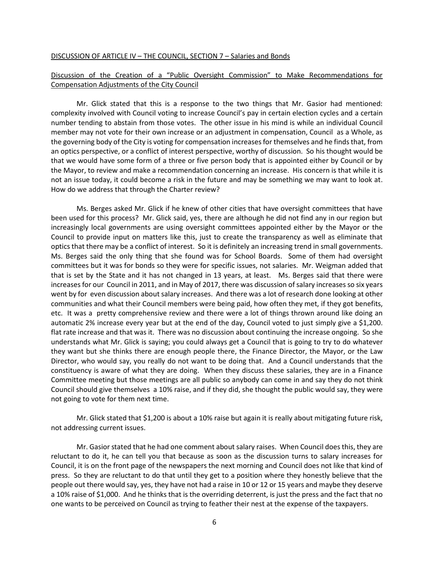#### DISCUSSION OF ARTICLE IV – THE COUNCIL, SECTION 7 – Salaries and Bonds

# Discussion of the Creation of a "Public Oversight Commission" to Make Recommendations for Compensation Adjustments of the City Council

Mr. Glick stated that this is a response to the two things that Mr. Gasior had mentioned: complexity involved with Council voting to increase Council's pay in certain election cycles and a certain number tending to abstain from those votes. The other issue in his mind is while an individual Council member may not vote for their own increase or an adjustment in compensation, Council as a Whole, as the governing body of the City is voting for compensation increases for themselves and he finds that, from an optics perspective, or a conflict of interest perspective, worthy of discussion. So his thought would be that we would have some form of a three or five person body that is appointed either by Council or by the Mayor, to review and make a recommendation concerning an increase. His concern is that while it is not an issue today, it could become a risk in the future and may be something we may want to look at. How do we address that through the Charter review?

Ms. Berges asked Mr. Glick if he knew of other cities that have oversight committees that have been used for this process? Mr. Glick said, yes, there are although he did not find any in our region but increasingly local governments are using oversight committees appointed either by the Mayor or the Council to provide input on matters like this, just to create the transparency as well as eliminate that optics that there may be a conflict of interest. So it is definitely an increasing trend in small governments. Ms. Berges said the only thing that she found was for School Boards. Some of them had oversight committees but it was for bonds so they were for specific issues, not salaries. Mr. Weigman added that that is set by the State and it has not changed in 13 years, at least. Ms. Berges said that there were increases for our Council in 2011, and in May of 2017, there was discussion of salary increases so six years went by for even discussion about salary increases. And there was a lot of research done looking at other communities and what their Council members were being paid, how often they met, if they got benefits, etc. It was a pretty comprehensive review and there were a lot of things thrown around like doing an automatic 2% increase every year but at the end of the day, Council voted to just simply give a \$1,200. flat rate increase and that was it. There was no discussion about continuing the increase ongoing. So she understands what Mr. Glick is saying; you could always get a Council that is going to try to do whatever they want but she thinks there are enough people there, the Finance Director, the Mayor, or the Law Director, who would say, you really do not want to be doing that. And a Council understands that the constituency is aware of what they are doing. When they discuss these salaries, they are in a Finance Committee meeting but those meetings are all public so anybody can come in and say they do not think Council should give themselves a 10% raise, and if they did, she thought the public would say, they were not going to vote for them next time.

Mr. Glick stated that \$1,200 is about a 10% raise but again it is really about mitigating future risk, not addressing current issues.

Mr. Gasior stated that he had one comment about salary raises. When Council does this, they are reluctant to do it, he can tell you that because as soon as the discussion turns to salary increases for Council, it is on the front page of the newspapers the next morning and Council does not like that kind of press. So they are reluctant to do that until they get to a position where they honestly believe that the people out there would say, yes, they have not had a raise in 10 or 12 or 15 years and maybe they deserve a 10% raise of \$1,000. And he thinks that is the overriding deterrent, is just the press and the fact that no one wants to be perceived on Council as trying to feather their nest at the expense of the taxpayers.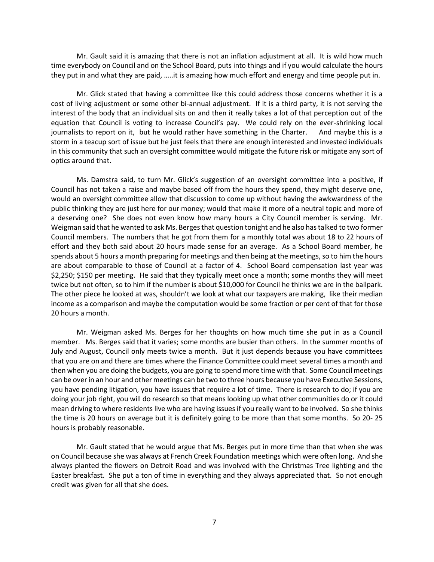Mr. Gault said it is amazing that there is not an inflation adjustment at all. It is wild how much time everybody on Council and on the School Board, puts into things and if you would calculate the hours they put in and what they are paid, …..it is amazing how much effort and energy and time people put in.

Mr. Glick stated that having a committee like this could address those concerns whether it is a cost of living adjustment or some other bi-annual adjustment. If it is a third party, it is not serving the interest of the body that an individual sits on and then it really takes a lot of that perception out of the equation that Council is voting to increase Council's pay. We could rely on the ever-shrinking local journalists to report on it, but he would rather have something in the Charter. And maybe this is a storm in a teacup sort of issue but he just feels that there are enough interested and invested individuals in this community that such an oversight committee would mitigate the future risk or mitigate any sort of optics around that.

Ms. Damstra said, to turn Mr. Glick's suggestion of an oversight committee into a positive, if Council has not taken a raise and maybe based off from the hours they spend, they might deserve one, would an oversight committee allow that discussion to come up without having the awkwardness of the public thinking they are just here for our money; would that make it more of a neutral topic and more of a deserving one? She does not even know how many hours a City Council member is serving. Mr. Weigman said that he wanted to ask Ms. Berges that question tonight and he also has talked to two former Council members. The numbers that he got from them for a monthly total was about 18 to 22 hours of effort and they both said about 20 hours made sense for an average. As a School Board member, he spends about 5 hours a month preparing for meetings and then being at the meetings, so to him the hours are about comparable to those of Council at a factor of 4. School Board compensation last year was \$2,250; \$150 per meeting. He said that they typically meet once a month; some months they will meet twice but not often, so to him if the number is about \$10,000 for Council he thinks we are in the ballpark. The other piece he looked at was, shouldn't we look at what our taxpayers are making, like their median income as a comparison and maybe the computation would be some fraction or per cent of that for those 20 hours a month.

Mr. Weigman asked Ms. Berges for her thoughts on how much time she put in as a Council member. Ms. Berges said that it varies; some months are busier than others. In the summer months of July and August, Council only meets twice a month. But it just depends because you have committees that you are on and there are times where the Finance Committee could meet several times a month and then when you are doing the budgets, you are going to spend more time with that. Some Council meetings can be over in an hour and other meetings can be two to three hours because you have Executive Sessions, you have pending litigation, you have issues that require a lot of time. There is research to do; if you are doing your job right, you will do research so that means looking up what other communities do or it could mean driving to where residents live who are having issues if you really want to be involved. So she thinks the time is 20 hours on average but it is definitely going to be more than that some months. So 20- 25 hours is probably reasonable.

Mr. Gault stated that he would argue that Ms. Berges put in more time than that when she was on Council because she was always at French Creek Foundation meetings which were often long. And she always planted the flowers on Detroit Road and was involved with the Christmas Tree lighting and the Easter breakfast. She put a ton of time in everything and they always appreciated that. So not enough credit was given for all that she does.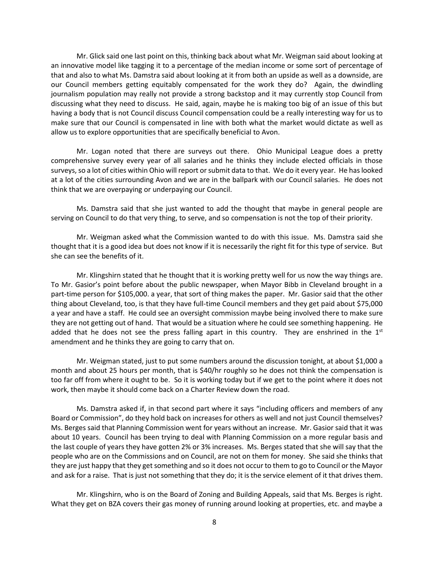Mr. Glick said one last point on this, thinking back about what Mr. Weigman said about looking at an innovative model like tagging it to a percentage of the median income or some sort of percentage of that and also to what Ms. Damstra said about looking at it from both an upside as well as a downside, are our Council members getting equitably compensated for the work they do? Again, the dwindling journalism population may really not provide a strong backstop and it may currently stop Council from discussing what they need to discuss. He said, again, maybe he is making too big of an issue of this but having a body that is not Council discuss Council compensation could be a really interesting way for us to make sure that our Council is compensated in line with both what the market would dictate as well as allow us to explore opportunities that are specifically beneficial to Avon.

Mr. Logan noted that there are surveys out there. Ohio Municipal League does a pretty comprehensive survey every year of all salaries and he thinks they include elected officials in those surveys, so a lot of cities within Ohio will report or submit data to that. We do it every year. He has looked at a lot of the cities surrounding Avon and we are in the ballpark with our Council salaries. He does not think that we are overpaying or underpaying our Council.

Ms. Damstra said that she just wanted to add the thought that maybe in general people are serving on Council to do that very thing, to serve, and so compensation is not the top of their priority.

Mr. Weigman asked what the Commission wanted to do with this issue. Ms. Damstra said she thought that it is a good idea but does not know if it is necessarily the right fit for this type of service. But she can see the benefits of it.

Mr. Klingshirn stated that he thought that it is working pretty well for us now the way things are. To Mr. Gasior's point before about the public newspaper, when Mayor Bibb in Cleveland brought in a part-time person for \$105,000. a year, that sort of thing makes the paper. Mr. Gasior said that the other thing about Cleveland, too, is that they have full-time Council members and they get paid about \$75,000 a year and have a staff. He could see an oversight commission maybe being involved there to make sure they are not getting out of hand. That would be a situation where he could see something happening. He added that he does not see the press falling apart in this country. They are enshrined in the  $1^{st}$ amendment and he thinks they are going to carry that on.

Mr. Weigman stated, just to put some numbers around the discussion tonight, at about \$1,000 a month and about 25 hours per month, that is \$40/hr roughly so he does not think the compensation is too far off from where it ought to be. So it is working today but if we get to the point where it does not work, then maybe it should come back on a Charter Review down the road.

Ms. Damstra asked if, in that second part where it says "including officers and members of any Board or Commission", do they hold back on increases for others as well and not just Council themselves? Ms. Berges said that Planning Commission went for years without an increase. Mr. Gasior said that it was about 10 years. Council has been trying to deal with Planning Commission on a more regular basis and the last couple of years they have gotten 2% or 3% increases. Ms. Berges stated that she will say that the people who are on the Commissions and on Council, are not on them for money. She said she thinks that they are just happy that they get something and so it does not occur to them to go to Council or the Mayor and ask for a raise. That is just not something that they do; it is the service element of it that drives them.

Mr. Klingshirn, who is on the Board of Zoning and Building Appeals, said that Ms. Berges is right. What they get on BZA covers their gas money of running around looking at properties, etc. and maybe a